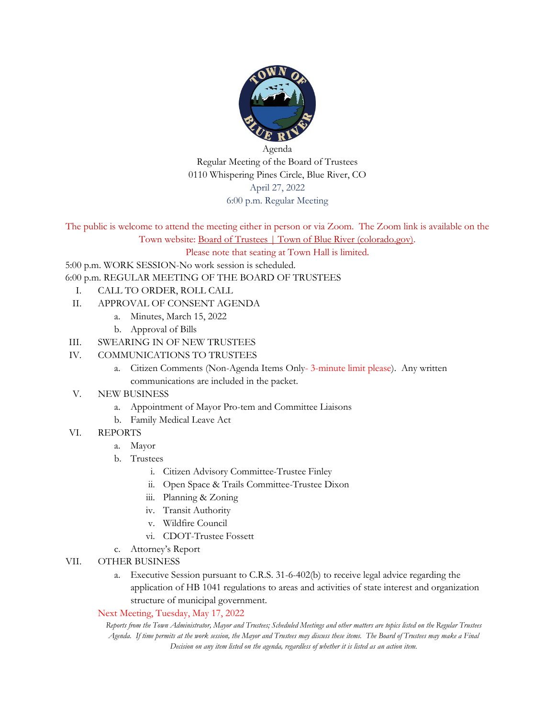

Agenda Regular Meeting of the Board of Trustees 0110 Whispering Pines Circle, Blue River, CO April 27, 2022 6:00 p.m. Regular Meeting

The public is welcome to attend the meeting either in person or via Zoom. The Zoom link is available on the Town website: [Board of Trustees | Town of Blue River \(colorado.gov\).](https://townofblueriver.colorado.gov/board-of-trustees/commissions/committees/board-of-trustees)

Please note that seating at Town Hall is limited.

5:00 p.m. WORK SESSION-No work session is scheduled.

6:00 p.m. REGULAR MEETING OF THE BOARD OF TRUSTEES

- I. CALL TO ORDER, ROLL CALL
- II. APPROVAL OF CONSENT AGENDA
	- a. Minutes, March 15, 2022
	- b. Approval of Bills
- III. SWEARING IN OF NEW TRUSTEES
- IV. COMMUNICATIONS TO TRUSTEES
	- a. Citizen Comments (Non-Agenda Items Only- 3-minute limit please). Any written communications are included in the packet.
- V. NEW BUSINESS
	- a. Appointment of Mayor Pro-tem and Committee Liaisons
	- b. Family Medical Leave Act
- VI. REPORTS
	- a. Mayor
	- b. Trustees
		- i. Citizen Advisory Committee-Trustee Finley
		- ii. Open Space & Trails Committee-Trustee Dixon
		- iii. Planning & Zoning
		- iv. Transit Authority
		- v. Wildfire Council
		- vi. CDOT-Trustee Fossett
	- c. Attorney's Report
- VII. OTHER BUSINESS
	- a. Executive Session pursuant to C.R.S. 31-6-402(b) to receive legal advice regarding the application of HB 1041 regulations to areas and activities of state interest and organization structure of municipal government.

#### Next Meeting, Tuesday, May 17, 2022

*Reports from the Town Administrator, Mayor and Trustees; Scheduled Meetings and other matters are topics listed on the Regular Trustees Agenda. If time permits at the work session, the Mayor and Trustees may discuss these items. The Board of Trustees may make a Final Decision on any item listed on the agenda, regardless of whether it is listed as an action item.*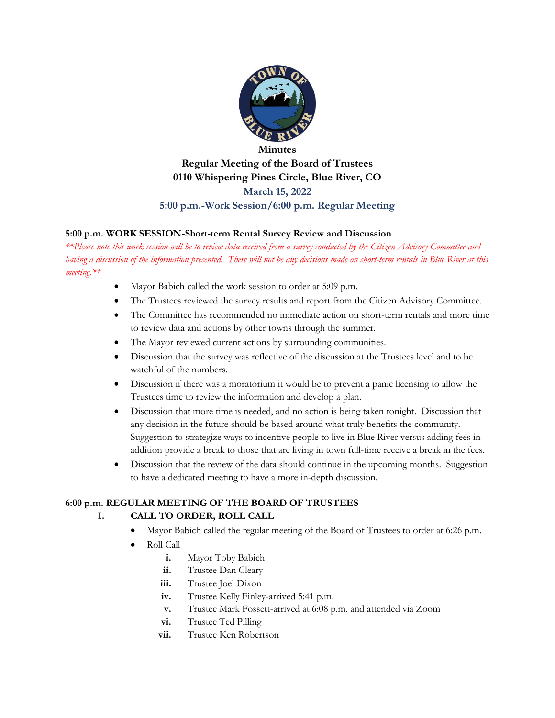

### **Minutes Regular Meeting of the Board of Trustees 0110 Whispering Pines Circle, Blue River, CO March 15, 2022 5:00 p.m.-Work Session/6:00 p.m. Regular Meeting**

#### **5:00 p.m. WORK SESSION-Short-term Rental Survey Review and Discussion**

*\*\*Please note this work session will be to review data received from a survey conducted by the Citizen Advisory Committee and having a discussion of the information presented. There will not be any decisions made on short-term rentals in Blue River at this meeting.\*\**

- Mayor Babich called the work session to order at 5:09 p.m.
- The Trustees reviewed the survey results and report from the Citizen Advisory Committee.
- The Committee has recommended no immediate action on short-term rentals and more time to review data and actions by other towns through the summer.
- The Mayor reviewed current actions by surrounding communities.
- Discussion that the survey was reflective of the discussion at the Trustees level and to be watchful of the numbers.
- Discussion if there was a moratorium it would be to prevent a panic licensing to allow the Trustees time to review the information and develop a plan.
- Discussion that more time is needed, and no action is being taken tonight. Discussion that any decision in the future should be based around what truly benefits the community. Suggestion to strategize ways to incentive people to live in Blue River versus adding fees in addition provide a break to those that are living in town full-time receive a break in the fees.
- Discussion that the review of the data should continue in the upcoming months. Suggestion to have a dedicated meeting to have a more in-depth discussion.

### **6:00 p.m. REGULAR MEETING OF THE BOARD OF TRUSTEES**

### **I. CALL TO ORDER, ROLL CALL**

- Mayor Babich called the regular meeting of the Board of Trustees to order at 6:26 p.m.
- Roll Call
	- **i.** Mayor Toby Babich
	- **ii.** Trustee Dan Cleary
	- **iii.** Trustee Joel Dixon
	- **iv.** Trustee Kelly Finley-arrived 5:41 p.m.
	- **v.** Trustee Mark Fossett-arrived at 6:08 p.m. and attended via Zoom
	- **vi.** Trustee Ted Pilling
	- **vii.** Trustee Ken Robertson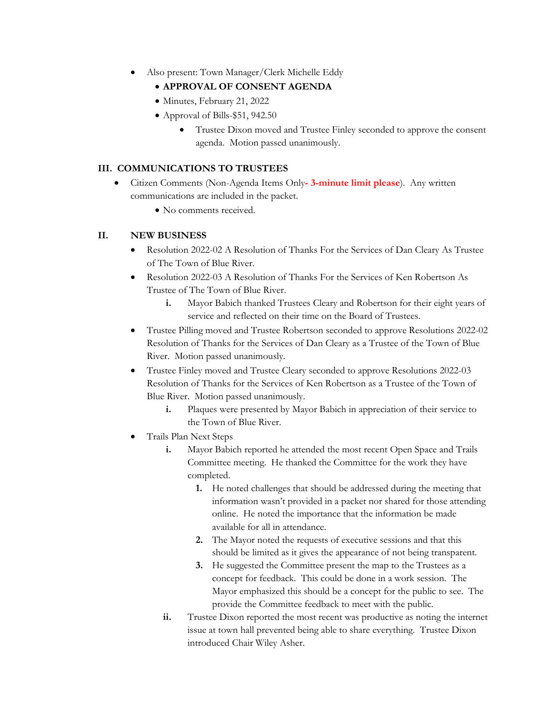- Also present: Town Manager/Clerk Michelle Eddy
	- **APPROVAL OF CONSENT AGENDA**
	- Minutes, February 21, 2022
	- Approval of Bills-\$51, 942.50
		- Trustee Dixon moved and Trustee Finley seconded to approve the consent agenda. Motion passed unanimously.

### **III. COMMUNICATIONS TO TRUSTEES**

- Citizen Comments (Non-Agenda Items Only**- 3-minute limit please**). Any written communications are included in the packet.
	- No comments received.

#### **II. NEW BUSINESS**

- Resolution 2022-02 A Resolution of Thanks For the Services of Dan Cleary As Trustee of The Town of Blue River.
- Resolution 2022-03 A Resolution of Thanks For the Services of Ken Robertson As Trustee of The Town of Blue River.
	- **i.** Mayor Babich thanked Trustees Cleary and Robertson for their eight years of service and reflected on their time on the Board of Trustees.
- Trustee Pilling moved and Trustee Robertson seconded to approve Resolutions 2022-02 Resolution of Thanks for the Services of Dan Cleary as a Trustee of the Town of Blue River. Motion passed unanimously.
- Trustee Finley moved and Trustee Cleary seconded to approve Resolutions 2022-03 Resolution of Thanks for the Services of Ken Robertson as a Trustee of the Town of Blue River. Motion passed unanimously.
	- **i.** Plaques were presented by Mayor Babich in appreciation of their service to the Town of Blue River.
- Trails Plan Next Steps
	- **i.** Mayor Babich reported he attended the most recent Open Space and Trails Committee meeting. He thanked the Committee for the work they have completed.
		- **1.** He noted challenges that should be addressed during the meeting that information wasn't provided in a packet nor shared for those attending online. He noted the importance that the information be made available for all in attendance.
		- **2.** The Mayor noted the requests of executive sessions and that this should be limited as it gives the appearance of not being transparent.
		- **3.** He suggested the Committee present the map to the Trustees as a concept for feedback. This could be done in a work session. The Mayor emphasized this should be a concept for the public to see. The provide the Committee feedback to meet with the public.
	- **ii.** Trustee Dixon reported the most recent was productive as noting the internet issue at town hall prevented being able to share everything. Trustee Dixon introduced Chair Wiley Asher.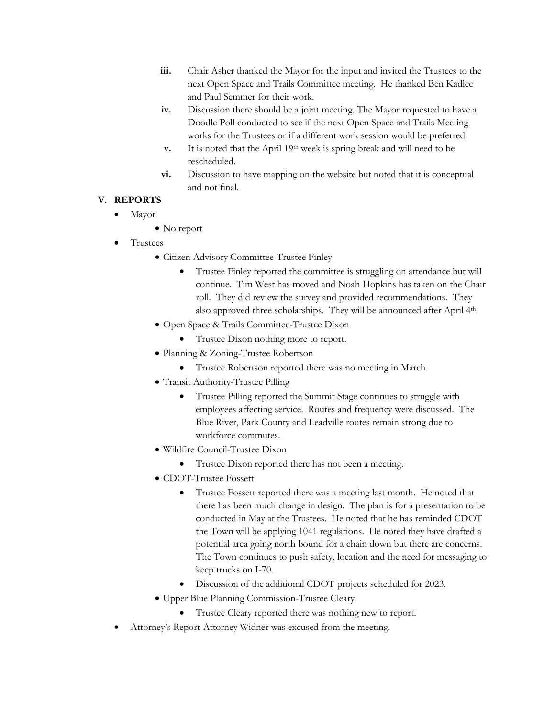- **iii.** Chair Asher thanked the Mayor for the input and invited the Trustees to the next Open Space and Trails Committee meeting. He thanked Ben Kadlec and Paul Semmer for their work.
- **iv.** Discussion there should be a joint meeting. The Mayor requested to have a Doodle Poll conducted to see if the next Open Space and Trails Meeting works for the Trustees or if a different work session would be preferred.
- **v.** It is noted that the April 19<sup>th</sup> week is spring break and will need to be rescheduled.
- **vi.** Discussion to have mapping on the website but noted that it is conceptual and not final.

### **V. REPORTS**

- Mayor
	- No report
- Trustees
	- Citizen Advisory Committee-Trustee Finley
		- Trustee Finley reported the committee is struggling on attendance but will continue. Tim West has moved and Noah Hopkins has taken on the Chair roll. They did review the survey and provided recommendations. They also approved three scholarships. They will be announced after April 4<sup>th</sup>.
	- Open Space & Trails Committee-Trustee Dixon
		- Trustee Dixon nothing more to report.
	- Planning & Zoning-Trustee Robertson
		- Trustee Robertson reported there was no meeting in March.
	- Transit Authority-Trustee Pilling
		- Trustee Pilling reported the Summit Stage continues to struggle with employees affecting service. Routes and frequency were discussed. The Blue River, Park County and Leadville routes remain strong due to workforce commutes.
	- Wildfire Council-Trustee Dixon
		- Trustee Dixon reported there has not been a meeting.
	- CDOT-Trustee Fossett
		- Trustee Fossett reported there was a meeting last month. He noted that there has been much change in design. The plan is for a presentation to be conducted in May at the Trustees. He noted that he has reminded CDOT the Town will be applying 1041 regulations. He noted they have drafted a potential area going north bound for a chain down but there are concerns. The Town continues to push safety, location and the need for messaging to keep trucks on I-70.
		- Discussion of the additional CDOT projects scheduled for 2023.
	- Upper Blue Planning Commission-Trustee Cleary
		- Trustee Cleary reported there was nothing new to report.
- Attorney's Report-Attorney Widner was excused from the meeting.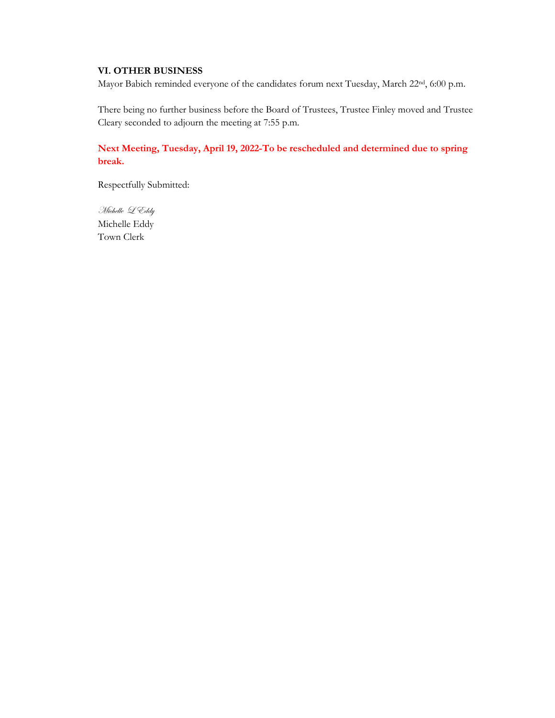#### **VI. OTHER BUSINESS**

Mayor Babich reminded everyone of the candidates forum next Tuesday, March 22nd, 6:00 p.m.

There being no further business before the Board of Trustees, Trustee Finley moved and Trustee Cleary seconded to adjourn the meeting at 7:55 p.m.

**Next Meeting, Tuesday, April 19, 2022-To be rescheduled and determined due to spring break.**

Respectfully Submitted:

Michelle L Eddy Michelle Eddy Town Clerk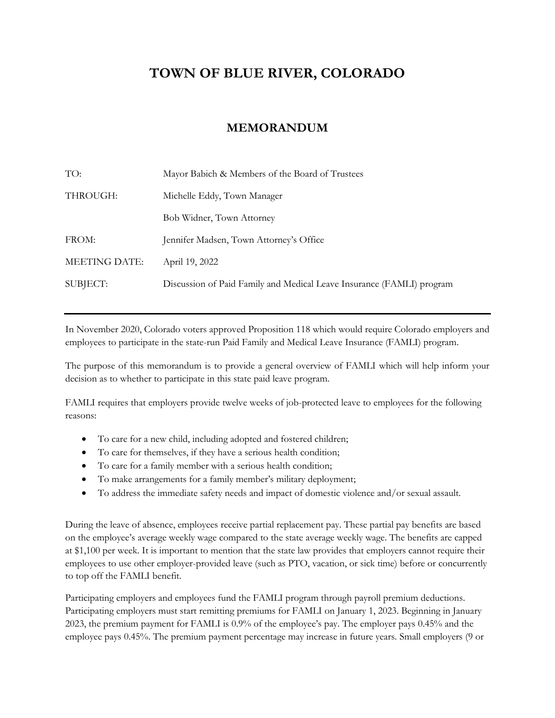### **TOWN OF BLUE RIVER, COLORADO**

### **MEMORANDUM**

| Mayor Babich & Members of the Board of Trustees                       |
|-----------------------------------------------------------------------|
| Michelle Eddy, Town Manager                                           |
| Bob Widner, Town Attorney                                             |
| Jennifer Madsen, Town Attorney's Office                               |
| April 19, 2022                                                        |
| Discussion of Paid Family and Medical Leave Insurance (FAMLI) program |
|                                                                       |

In November 2020, Colorado voters approved Proposition 118 which would require Colorado employers and employees to participate in the state-run Paid Family and Medical Leave Insurance (FAMLI) program.

The purpose of this memorandum is to provide a general overview of FAMLI which will help inform your decision as to whether to participate in this state paid leave program.

FAMLI requires that employers provide twelve weeks of job-protected leave to employees for the following reasons:

- To care for a new child, including adopted and fostered children;
- To care for themselves, if they have a serious health condition;
- To care for a family member with a serious health condition;
- To make arrangements for a family member's military deployment;
- To address the immediate safety needs and impact of domestic violence and/or sexual assault.

During the leave of absence, employees receive partial replacement pay. These partial pay benefits are based on the employee's average weekly wage compared to the state average weekly wage. The benefits are capped at \$1,100 per week. It is important to mention that the state law provides that employers cannot require their employees to use other employer-provided leave (such as PTO, vacation, or sick time) before or concurrently to top off the FAMLI benefit.

Participating employers and employees fund the FAMLI program through payroll premium deductions. Participating employers must start remitting premiums for FAMLI on January 1, 2023. Beginning in January 2023, the premium payment for FAMLI is 0.9% of the employee's pay. The employer pays 0.45% and the employee pays 0.45%. The premium payment percentage may increase in future years. Small employers (9 or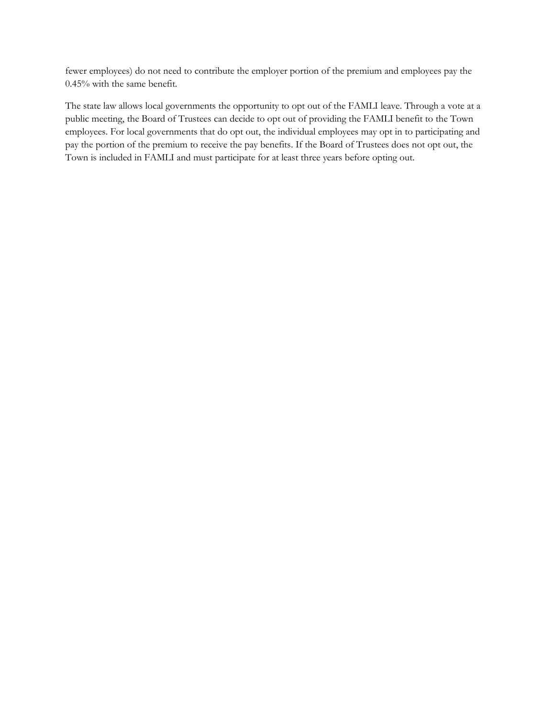fewer employees) do not need to contribute the employer portion of the premium and employees pay the 0.45% with the same benefit.

The state law allows local governments the opportunity to opt out of the FAMLI leave. Through a vote at a public meeting, the Board of Trustees can decide to opt out of providing the FAMLI benefit to the Town employees. For local governments that do opt out, the individual employees may opt in to participating and pay the portion of the premium to receive the pay benefits. If the Board of Trustees does not opt out, the Town is included in FAMLI and must participate for at least three years before opting out.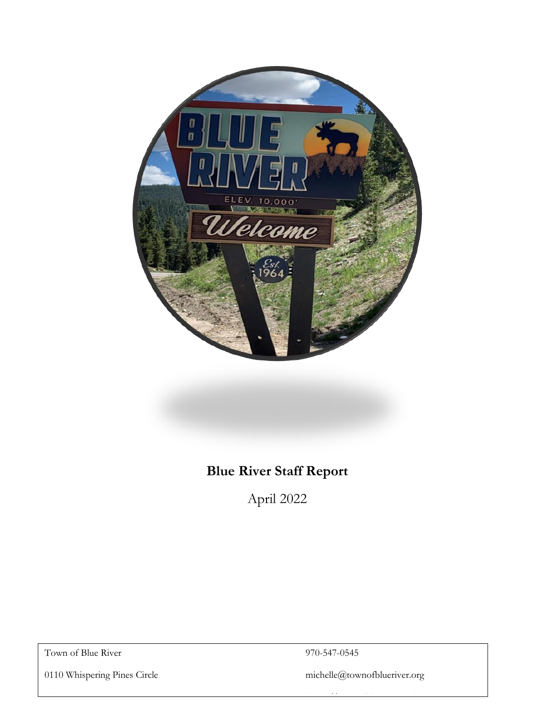

## **Blue River Staff Report**

April 2022

Blue River, CO 80424 https://townofblueriver.colorado.gov

Town of Blue River 970-547-0545

0110 Whispering Pines Circle michelle@townofblueriver.org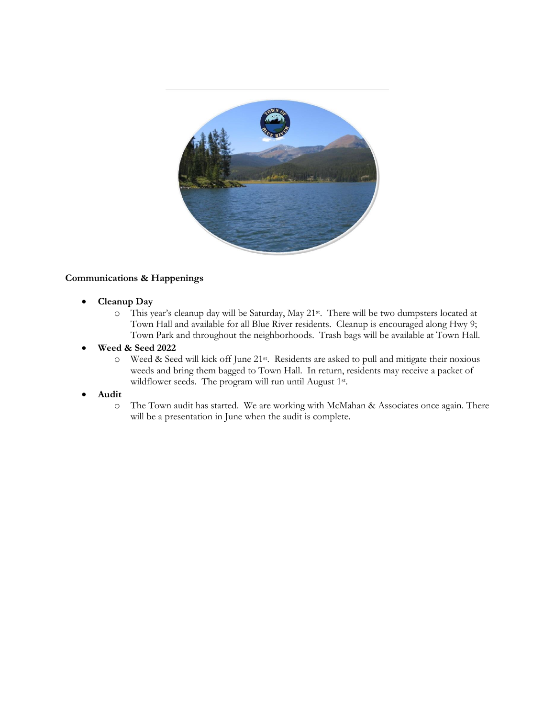

#### **Communications & Happenings**

- **Cleanup Day**
	- o This year's cleanup day will be Saturday, May 21st. There will be two dumpsters located at Town Hall and available for all Blue River residents. Cleanup is encouraged along Hwy 9; Town Park and throughout the neighborhoods. Trash bags will be available at Town Hall.
- **Weed & Seed 2022**
	- o Weed & Seed will kick off June 21st. Residents are asked to pull and mitigate their noxious weeds and bring them bagged to Town Hall. In return, residents may receive a packet of wildflower seeds. The program will run until August 1<sup>st</sup>.
- **Audit**
	- o The Town audit has started. We are working with McMahan & Associates once again. There will be a presentation in June when the audit is complete.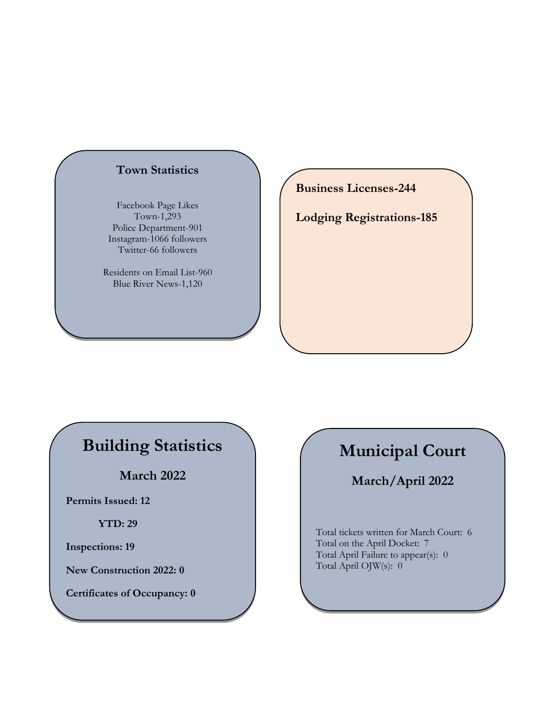### **Town Statistics**

Facebook Page Likes Town-1,293 Police Department-901 Instagram-1066 followers Twitter-66 followers

Residents on Email List-960 Blue River News-1,120

**Business Licenses-244**

**Lodging Registrations-185**

## **Building Statistics**

**March 2022**

**Permits Issued: 12**

**YTD: 29**

**Inspections: 19**

**New Construction 2022: 0**

**Certificates of Occupancy: 0**

# **Municipal Court**

**March/April 2022**

Total tickets written for March Court: 6 Total on the April Docket: 7 Total April Failure to appear(s): 0 Total April OJW(s): 0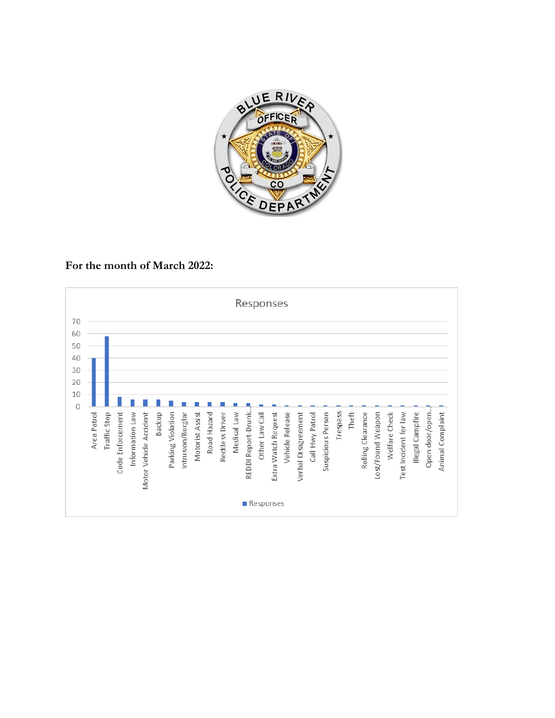

### **For the month of March 2022:**

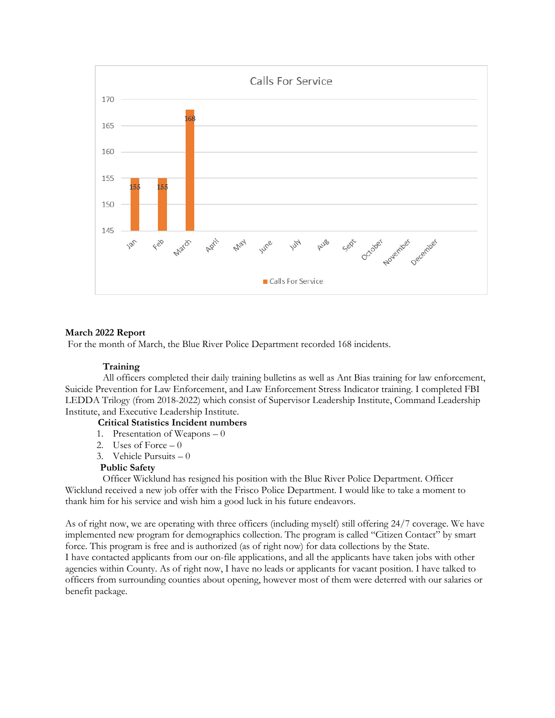

#### **March 2022 Report**

For the month of March, the Blue River Police Department recorded 168 incidents.

#### **Training**

All officers completed their daily training bulletins as well as Ant Bias training for law enforcement, Suicide Prevention for Law Enforcement, and Law Enforcement Stress Indicator training. I completed FBI LEDDA Trilogy (from 2018-2022) which consist of Supervisor Leadership Institute, Command Leadership Institute, and Executive Leadership Institute.

#### **Critical Statistics Incident numbers**

- 1. Presentation of Weapons 0
- 2. Uses of Force  $-0$
- 3. Vehicle Pursuits 0

#### **Public Safety**

Officer Wicklund has resigned his position with the Blue River Police Department. Officer Wicklund received a new job offer with the Frisco Police Department. I would like to take a moment to thank him for his service and wish him a good luck in his future endeavors.

As of right now, we are operating with three officers (including myself) still offering 24/7 coverage. We have implemented new program for demographics collection. The program is called "Citizen Contact" by smart force. This program is free and is authorized (as of right now) for data collections by the State. I have contacted applicants from our on-file applications, and all the applicants have taken jobs with other agencies within County. As of right now, I have no leads or applicants for vacant position. I have talked to officers from surrounding counties about opening, however most of them were deterred with our salaries or benefit package.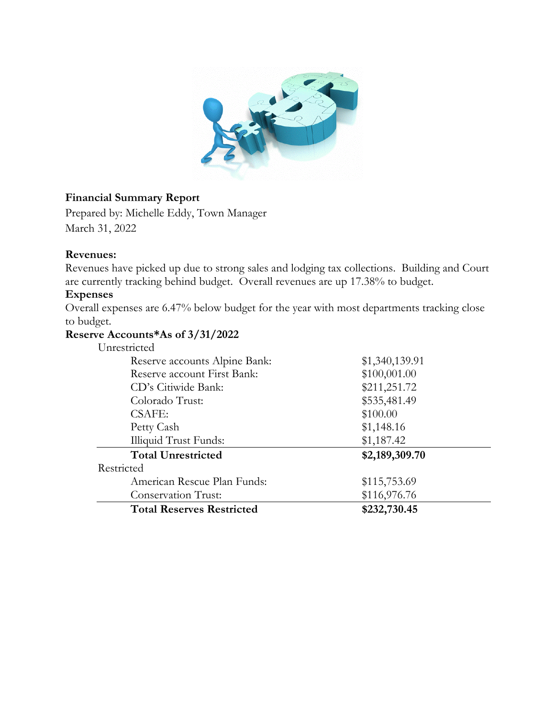

### **Financial Summary Report**

Prepared by: Michelle Eddy, Town Manager March 31, 2022

### **Revenues:**

Revenues have picked up due to strong sales and lodging tax collections. Building and Court are currently tracking behind budget. Overall revenues are up 17.38% to budget.

### **Expenses**

Overall expenses are 6.47% below budget for the year with most departments tracking close to budget.

### **Reserve Accounts\*As of 3/31/2022**

| Unrestricted                     |                |  |
|----------------------------------|----------------|--|
| Reserve accounts Alpine Bank:    | \$1,340,139.91 |  |
| Reserve account First Bank:      | \$100,001.00   |  |
| CD's Citiwide Bank:              | \$211,251.72   |  |
| Colorado Trust:                  | \$535,481.49   |  |
| <b>CSAFE:</b>                    | \$100.00       |  |
| Petty Cash                       | \$1,148.16     |  |
| <b>Illiquid Trust Funds:</b>     | \$1,187.42     |  |
| <b>Total Unrestricted</b>        | \$2,189,309.70 |  |
| Restricted                       |                |  |
| American Rescue Plan Funds:      | \$115,753.69   |  |
| <b>Conservation Trust:</b>       | \$116,976.76   |  |
| <b>Total Reserves Restricted</b> | \$232,730.45   |  |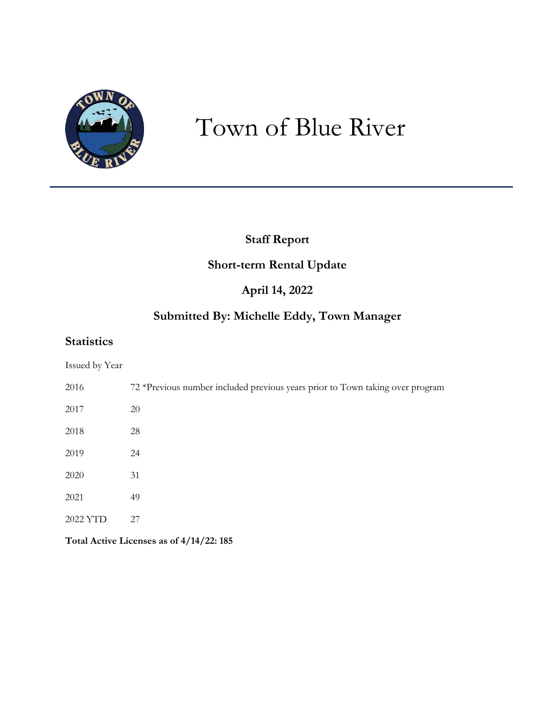

# Town of Blue River

### **Staff Report**

### **Short-term Rental Update**

### **April 14, 2022**

### **Submitted By: Michelle Eddy, Town Manager**

### **Statistics**

| Issued by Year |  |
|----------------|--|
|----------------|--|

| 2016     | 72 *Previous number included previous years prior to Town taking over program |
|----------|-------------------------------------------------------------------------------|
| 2017     | 20                                                                            |
| 2018     | 28                                                                            |
| 2019     | 24                                                                            |
| 2020     | 31                                                                            |
| 2021     | 49                                                                            |
| 2022 YTD | 27                                                                            |
|          |                                                                               |

**Total Active Licenses as of 4/14/22: 185**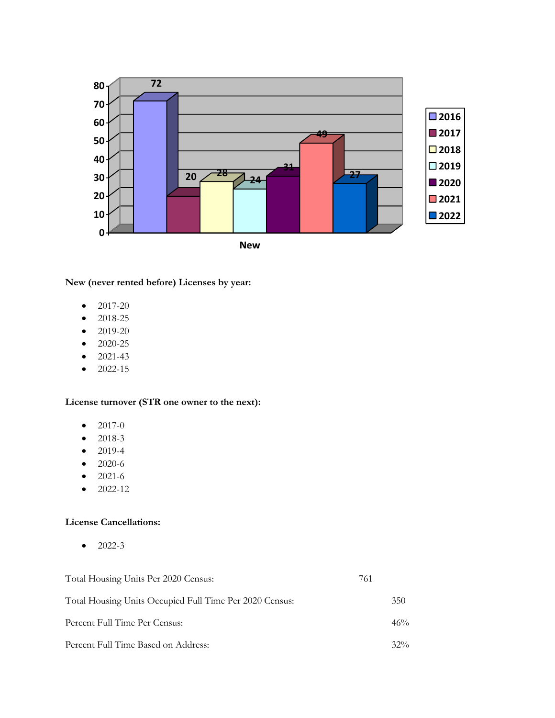

**New (never rented before) Licenses by year:**

- $\bullet$  2017-20
- 2018-25
- $\bullet$  2019-20
- 2020-25
- $2021-43$
- $2022-15$

**License turnover (STR one owner to the next):**

- $\bullet$  2017-0
- 2018-3
- 2019-4
- 2020-6
- 2021-6
- $2022-12$

#### **License Cancellations:**

 $\bullet$  2022-3

| Total Housing Units Per 2020 Census:                    | 761 |        |
|---------------------------------------------------------|-----|--------|
| Total Housing Units Occupied Full Time Per 2020 Census: |     | 350    |
| Percent Full Time Per Census:                           |     | 46%    |
| Percent Full Time Based on Address:                     |     | $32\%$ |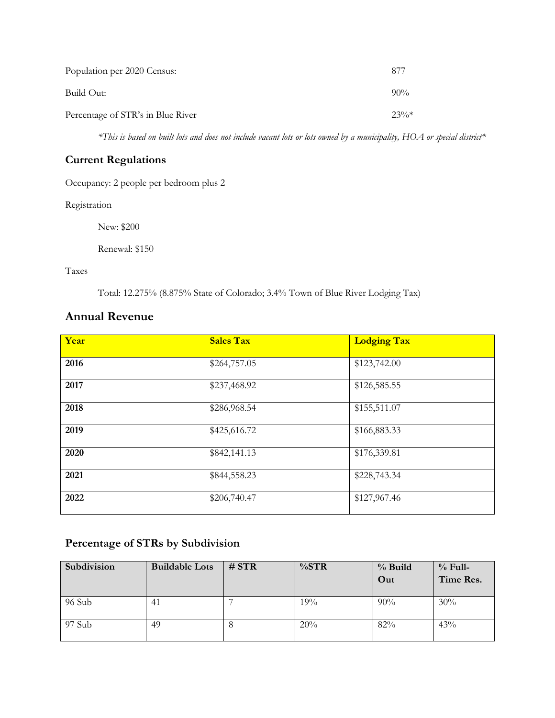| Population per 2020 Census:       | 877     |
|-----------------------------------|---------|
| Build Out:                        | $90\%$  |
| Percentage of STR's in Blue River | $23\%*$ |

*\*This is based on built lots and does not include vacant lots or lots owned by a municipality, HOA or special district\**

### **Current Regulations**

Occupancy: 2 people per bedroom plus 2

Registration

New: \$200

Renewal: \$150

Taxes

Total: 12.275% (8.875% State of Colorado; 3.4% Town of Blue River Lodging Tax)

### **Annual Revenue**

| Year | <b>Sales Tax</b> | <b>Lodging Tax</b> |
|------|------------------|--------------------|
| 2016 | \$264,757.05     | \$123,742.00       |
| 2017 | \$237,468.92     | \$126,585.55       |
| 2018 | \$286,968.54     | \$155,511.07       |
| 2019 | \$425,616.72     | \$166,883.33       |
| 2020 | \$842,141.13     | \$176,339.81       |
| 2021 | \$844,558.23     | \$228,743.34       |
| 2022 | \$206,740.47     | \$127,967.46       |

### **Percentage of STRs by Subdivision**

| Subdivision | <b>Buildable Lots</b> | # STR | $\%STR$ | % Build<br>Out | $%$ Full-<br>Time Res. |
|-------------|-----------------------|-------|---------|----------------|------------------------|
| 96 Sub      | 41                    |       | 19%     | 90%            | 30%                    |
| 97 Sub      | 49                    | ŏ     | 20%     | 82%            | 43%                    |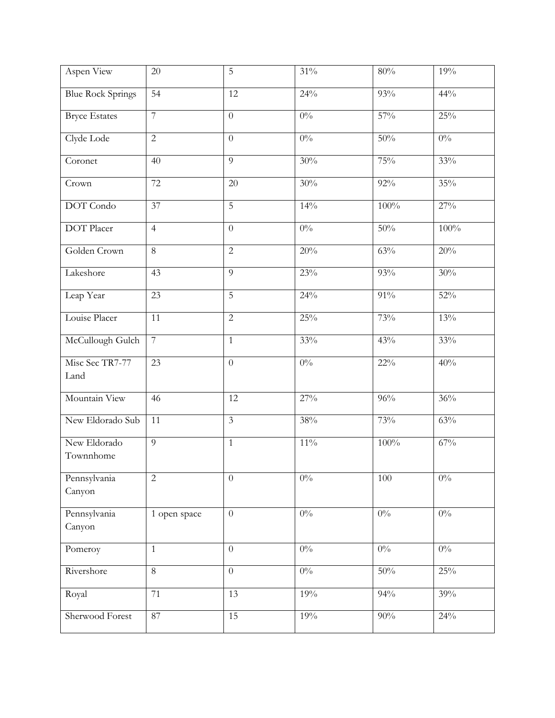| Aspen View                | 20              | 5              | $31\%$ | $80\%$            | 19%   |
|---------------------------|-----------------|----------------|--------|-------------------|-------|
| <b>Blue Rock Springs</b>  | 54              | 12             | 24%    | 93%               | 44%   |
| <b>Bryce Estates</b>      | $\overline{7}$  | $\theta$       | $0\%$  | 57%               | 25%   |
| Clyde Lode                | $\overline{2}$  | $\overline{0}$ | $0\%$  | 50%               | $0\%$ |
| Coronet                   | 40              | 9              | 30%    | 75%               | 33%   |
| Crown                     | 72              | 20             | 30%    | 92%               | 35%   |
| <b>DOT</b> Condo          | 37              | 5              | 14%    | 100%              | 27%   |
| <b>DOT</b> Placer         | $\overline{4}$  | $\overline{0}$ | $0\%$  | 50%               | 100%  |
| Golden Crown              | 8               | $\overline{2}$ | 20%    | 63%               | 20%   |
| Lakeshore                 | 43              | 9              | 23%    | 93%               | 30%   |
| Leap Year                 | 23              | $\overline{5}$ | 24%    | $91\%$            | 52%   |
| Louise Placer             | $\overline{11}$ | $\overline{2}$ | 25%    | 73%               | 13%   |
| McCullough Gulch          | $\overline{7}$  | $\mathbf{1}$   | 33%    | 43%               | 33%   |
| Misc Sec TR7-77<br>Land   | 23              | $\overline{0}$ | $0\%$  | $22\%$            | 40%   |
| Mountain View             | 46              | 12             | 27%    | 96%               | 36%   |
| New Eldorado Sub          | 11              | $\mathfrak{Z}$ | $38\%$ | 73%               | 63%   |
| New Eldorado<br>Townnhome | $\overline{9}$  | $\mathbf{1}$   | $11\%$ | 100%              | 67%   |
| Pennsylvania<br>Canyon    | $\overline{c}$  | $\overline{0}$ | $0\%$  | 100               | $0\%$ |
| Pennsylvania<br>Canyon    | 1 open space    | $\overline{0}$ | $0\%$  | $0\%$             | $0\%$ |
| Pomeroy                   | $\mathbf{1}$    | $\overline{0}$ | $0\%$  | $0\%$             | $0\%$ |
| Rivershore                | $\overline{8}$  | $\overline{0}$ | $0\%$  | 50%               | 25%   |
| Royal                     | 71              | 13             | 19%    | 94%               | 39%   |
| Sherwood Forest           | 87              | 15             | 19%    | $\overline{90\%}$ | 24%   |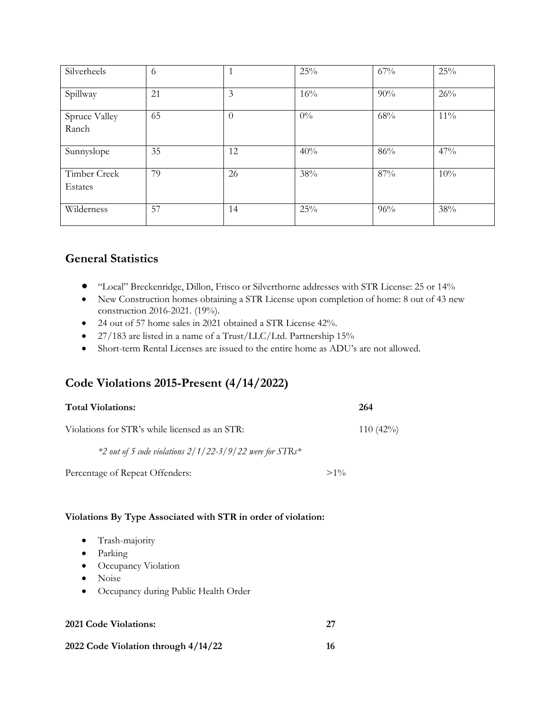| Silverheels             | 6  |          | 25%   | 67% | 25%    |
|-------------------------|----|----------|-------|-----|--------|
| Spillway                | 21 | 3        | 16%   | 90% | 26%    |
| Spruce Valley<br>Ranch  | 65 | $\Omega$ | $0\%$ | 68% | $11\%$ |
| Sunnyslope              | 35 | 12       | 40%   | 86% | 47%    |
| Timber Creek<br>Estates | 79 | 26       | 38%   | 87% | 10%    |
| Wilderness              | 57 | 14       | 25%   | 96% | 38%    |

### **General Statistics**

- "Local" Breckenridge, Dillon, Frisco or Silverthorne addresses with STR License: 25 or 14%
- New Construction homes obtaining a STR License upon completion of home: 8 out of 43 new construction 2016-2021. (19%).
- 24 out of 57 home sales in 2021 obtained a STR License 42%.
- 27/183 are listed in a name of a Trust/LLC/Ltd. Partnership 15%
- Short-term Rental Licenses are issued to the entire home as ADU's are not allowed.

### **Code Violations 2015-Present (4/14/2022)**

| <b>Total Violations:</b>                                   |        | 264         |
|------------------------------------------------------------|--------|-------------|
| Violations for STR's while licensed as an STR:             |        | $110(42\%)$ |
| $*2$ out of 5 code violations 2/1/22-3/9/22 were for STRs* |        |             |
| Percentage of Repeat Offenders:                            | $>1\%$ |             |

#### **Violations By Type Associated with STR in order of violation:**

- Trash-majority
- Parking
- Occupancy Violation
- Noise
- Occupancy during Public Health Order

| <b>2021 Code Violations:</b> |  |
|------------------------------|--|
|                              |  |

|  | 2022 Code Violation through 4/14/22 |  |
|--|-------------------------------------|--|
|  |                                     |  |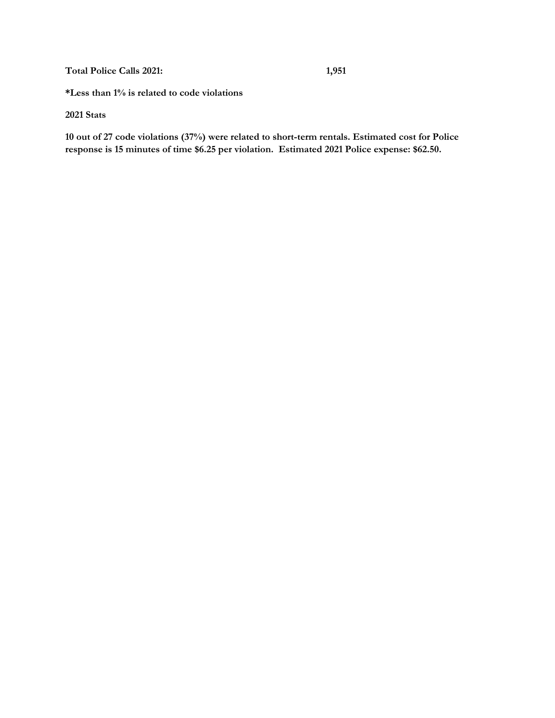**Total Police Calls 2021: 1,951**

**\*Less than 1% is related to code violations**

**2021 Stats**

**10 out of 27 code violations (37%) were related to short-term rentals. Estimated cost for Police response is 15 minutes of time \$6.25 per violation. Estimated 2021 Police expense: \$62.50.**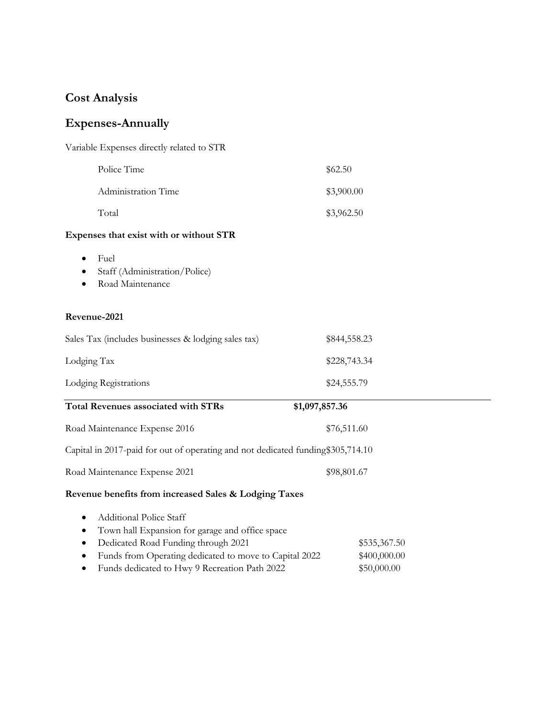### **Cost Analysis**

### **Expenses-Annually**

| Variable Expenses directly related to STR |            |
|-------------------------------------------|------------|
| Police Time                               | \$62.50    |
| Administration Time                       | \$3,900.00 |
| Total                                     | \$3,962.50 |

### **Expenses that exist with or without STR**

- Fuel
- Staff (Administration/Police)
- Road Maintenance

#### **Revenue-2021**

| Sales Tax (includes businesses & lodging sales tax)                              | \$844,558.23   |
|----------------------------------------------------------------------------------|----------------|
| Lodging Tax                                                                      | \$228,743.34   |
| Lodging Registrations                                                            | \$24,555.79    |
| Total Revenues associated with STRs                                              | \$1,097,857.36 |
| Road Maintenance Expense 2016                                                    | \$76,511.60    |
| Capital in 2017-paid for out of operating and not dedicated funding \$305,714.10 |                |
| Road Maintenance Expense 2021                                                    | \$98,801.67    |
| Revenue benefits from increased Sales & Lodging Taxes                            |                |
| <b>Additional Police Staff</b><br>$\bullet$                                      |                |
| Town hall Expansion for garage and office space                                  |                |
| Dedicated Road Funding through 2021<br>٠                                         | \$535,367.50   |
| Funds from Operating dedicated to move to Capital 2022                           | \$400,000.00   |

• Funds dedicated to Hwy 9 Recreation Path 2022 \$50,000.00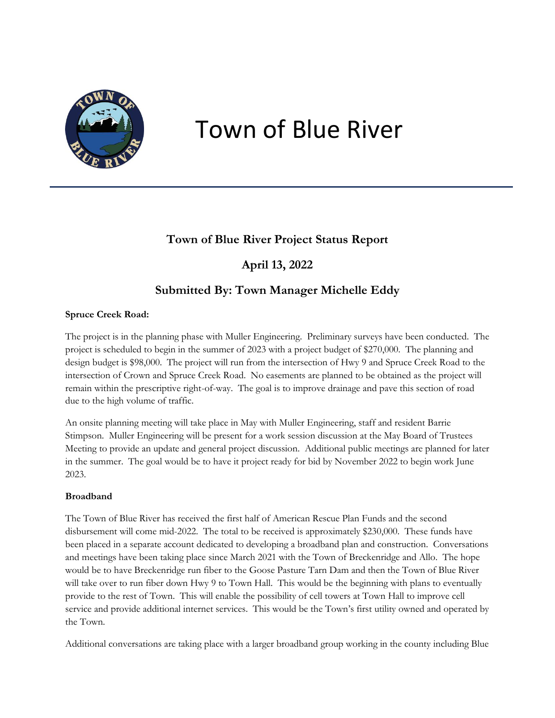

# Town of Blue River

### **Town of Blue River Project Status Report**

### **April 13, 2022**

### **Submitted By: Town Manager Michelle Eddy**

### **Spruce Creek Road:**

The project is in the planning phase with Muller Engineering. Preliminary surveys have been conducted. The project is scheduled to begin in the summer of 2023 with a project budget of \$270,000. The planning and design budget is \$98,000. The project will run from the intersection of Hwy 9 and Spruce Creek Road to the intersection of Crown and Spruce Creek Road. No easements are planned to be obtained as the project will remain within the prescriptive right-of-way. The goal is to improve drainage and pave this section of road due to the high volume of traffic.

An onsite planning meeting will take place in May with Muller Engineering, staff and resident Barrie Stimpson. Muller Engineering will be present for a work session discussion at the May Board of Trustees Meeting to provide an update and general project discussion. Additional public meetings are planned for later in the summer. The goal would be to have it project ready for bid by November 2022 to begin work June 2023.

### **Broadband**

The Town of Blue River has received the first half of American Rescue Plan Funds and the second disbursement will come mid-2022. The total to be received is approximately \$230,000. These funds have been placed in a separate account dedicated to developing a broadband plan and construction. Conversations and meetings have been taking place since March 2021 with the Town of Breckenridge and Allo. The hope would be to have Breckenridge run fiber to the Goose Pasture Tarn Dam and then the Town of Blue River will take over to run fiber down Hwy 9 to Town Hall. This would be the beginning with plans to eventually provide to the rest of Town. This will enable the possibility of cell towers at Town Hall to improve cell service and provide additional internet services. This would be the Town's first utility owned and operated by the Town.

Additional conversations are taking place with a larger broadband group working in the county including Blue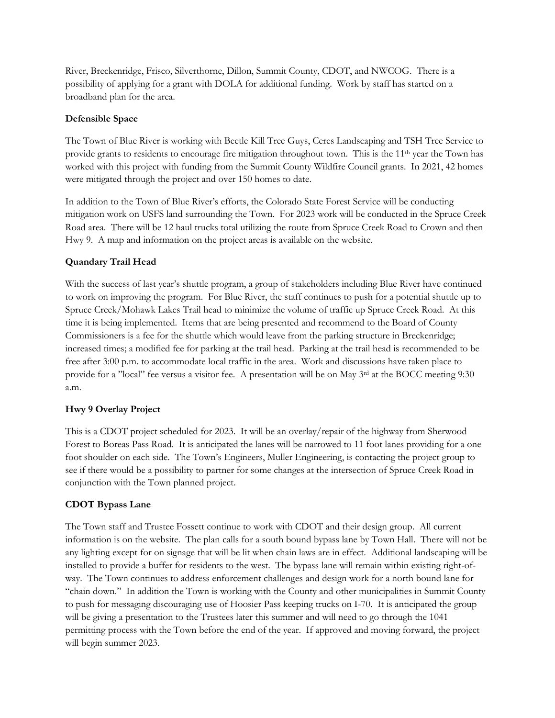River, Breckenridge, Frisco, Silverthorne, Dillon, Summit County, CDOT, and NWCOG. There is a possibility of applying for a grant with DOLA for additional funding. Work by staff has started on a broadband plan for the area.

#### **Defensible Space**

The Town of Blue River is working with Beetle Kill Tree Guys, Ceres Landscaping and TSH Tree Service to provide grants to residents to encourage fire mitigation throughout town. This is the 11<sup>th</sup> year the Town has worked with this project with funding from the Summit County Wildfire Council grants. In 2021, 42 homes were mitigated through the project and over 150 homes to date.

In addition to the Town of Blue River's efforts, the Colorado State Forest Service will be conducting mitigation work on USFS land surrounding the Town. For 2023 work will be conducted in the Spruce Creek Road area. There will be 12 haul trucks total utilizing the route from Spruce Creek Road to Crown and then Hwy 9. A map and information on the project areas is available on the website.

### **Quandary Trail Head**

With the success of last year's shuttle program, a group of stakeholders including Blue River have continued to work on improving the program. For Blue River, the staff continues to push for a potential shuttle up to Spruce Creek/Mohawk Lakes Trail head to minimize the volume of traffic up Spruce Creek Road. At this time it is being implemented. Items that are being presented and recommend to the Board of County Commissioners is a fee for the shuttle which would leave from the parking structure in Breckenridge; increased times; a modified fee for parking at the trail head. Parking at the trail head is recommended to be free after 3:00 p.m. to accommodate local traffic in the area. Work and discussions have taken place to provide for a "local" fee versus a visitor fee. A presentation will be on May 3rd at the BOCC meeting 9:30 a.m.

### **Hwy 9 Overlay Project**

This is a CDOT project scheduled for 2023. It will be an overlay/repair of the highway from Sherwood Forest to Boreas Pass Road. It is anticipated the lanes will be narrowed to 11 foot lanes providing for a one foot shoulder on each side. The Town's Engineers, Muller Engineering, is contacting the project group to see if there would be a possibility to partner for some changes at the intersection of Spruce Creek Road in conjunction with the Town planned project.

### **CDOT Bypass Lane**

The Town staff and Trustee Fossett continue to work with CDOT and their design group. All current information is on the website. The plan calls for a south bound bypass lane by Town Hall. There will not be any lighting except for on signage that will be lit when chain laws are in effect. Additional landscaping will be installed to provide a buffer for residents to the west. The bypass lane will remain within existing right-ofway. The Town continues to address enforcement challenges and design work for a north bound lane for "chain down." In addition the Town is working with the County and other municipalities in Summit County to push for messaging discouraging use of Hoosier Pass keeping trucks on I-70. It is anticipated the group will be giving a presentation to the Trustees later this summer and will need to go through the 1041 permitting process with the Town before the end of the year. If approved and moving forward, the project will begin summer 2023.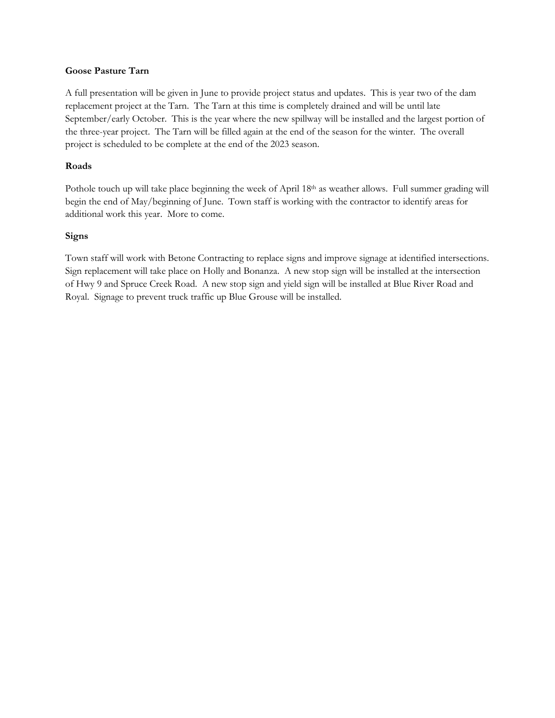#### **Goose Pasture Tarn**

A full presentation will be given in June to provide project status and updates. This is year two of the dam replacement project at the Tarn. The Tarn at this time is completely drained and will be until late September/early October. This is the year where the new spillway will be installed and the largest portion of the three-year project. The Tarn will be filled again at the end of the season for the winter. The overall project is scheduled to be complete at the end of the 2023 season.

#### **Roads**

Pothole touch up will take place beginning the week of April 18th as weather allows. Full summer grading will begin the end of May/beginning of June. Town staff is working with the contractor to identify areas for additional work this year. More to come.

#### **Signs**

Town staff will work with Betone Contracting to replace signs and improve signage at identified intersections. Sign replacement will take place on Holly and Bonanza. A new stop sign will be installed at the intersection of Hwy 9 and Spruce Creek Road. A new stop sign and yield sign will be installed at Blue River Road and Royal. Signage to prevent truck traffic up Blue Grouse will be installed.